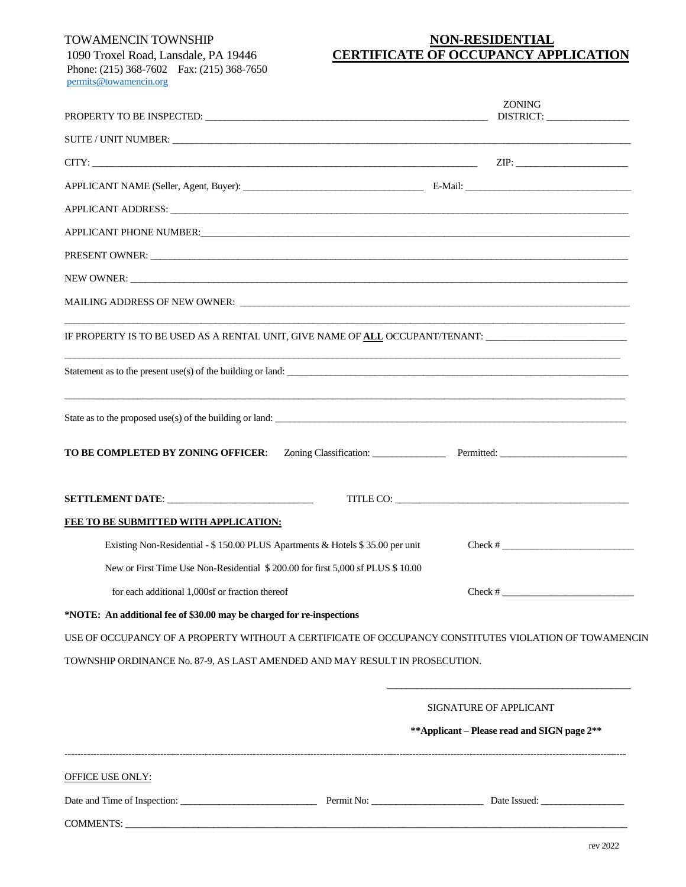COMMENTS:

## TOWAMENCIN TOWNSHIP **NON-RESIDENTIAL** 1090 Troxel Road, Lansdale, PA 19446 **CERTIFICATE OF OCCUPANCY APPLICATION**

| 1090 110xei Road, Lansdale, PA 19440          |  |  |  |  |  |  |
|-----------------------------------------------|--|--|--|--|--|--|
| Phone: $(215)$ 368-7602 Fax: $(215)$ 368-7650 |  |  |  |  |  |  |
| permits@towamencin.org                        |  |  |  |  |  |  |

|                                                                                                               | <b>ZONING</b>                                                                                         |
|---------------------------------------------------------------------------------------------------------------|-------------------------------------------------------------------------------------------------------|
| SUITE / UNIT NUMBER:                                                                                          |                                                                                                       |
| $CITY:$ $ZIP:$                                                                                                |                                                                                                       |
|                                                                                                               |                                                                                                       |
|                                                                                                               |                                                                                                       |
| APPLICANT PHONE NUMBER: 2008 PHONE COMMERSE AND THE CONTRACT OF A SERIES AND THE CONTRACT OF A SERIES AND THE |                                                                                                       |
| PRESENT OWNER:                                                                                                |                                                                                                       |
|                                                                                                               |                                                                                                       |
|                                                                                                               |                                                                                                       |
| IF PROPERTY IS TO BE USED AS A RENTAL UNIT, GIVE NAME OF ALL OCCUPANT/TENANT: ______________________          |                                                                                                       |
| Statement as to the present use(s) of the building or land:                                                   |                                                                                                       |
| State as to the proposed use(s) of the building or land:                                                      |                                                                                                       |
| TO BE COMPLETED BY ZONING OFFICER:                                                                            | Zoning Classification: Permitted: Permitted:                                                          |
|                                                                                                               |                                                                                                       |
| FEE TO BE SUBMITTED WITH APPLICATION:                                                                         |                                                                                                       |
| Existing Non-Residential - \$150.00 PLUS Apartments & Hotels \$35.00 per unit                                 | $Check # \_$                                                                                          |
| New or First Time Use Non-Residential \$200.00 for first 5,000 sf PLUS \$10.00                                |                                                                                                       |
| for each additional 1,000sf or fraction thereof                                                               | $Check \#$                                                                                            |
| *NOTE: An additional fee of \$30.00 may be charged for re-inspections                                         |                                                                                                       |
|                                                                                                               | USE OF OCCUPANCY OF A PROPERTY WITHOUT A CERTIFICATE OF OCCUPANCY CONSTITUTES VIOLATION OF TOWAMENCIN |
| TOWNSHIP ORDINANCE No. 87-9, AS LAST AMENDED AND MAY RESULT IN PROSECUTION.                                   |                                                                                                       |
|                                                                                                               |                                                                                                       |
|                                                                                                               | SIGNATURE OF APPLICANT                                                                                |
|                                                                                                               | ** Applicant – Please read and SIGN page 2**                                                          |
| OFFICE USE ONLY:                                                                                              |                                                                                                       |
| Date and Time of Inspection: Permit No: Date Issued: Date Issued:                                             |                                                                                                       |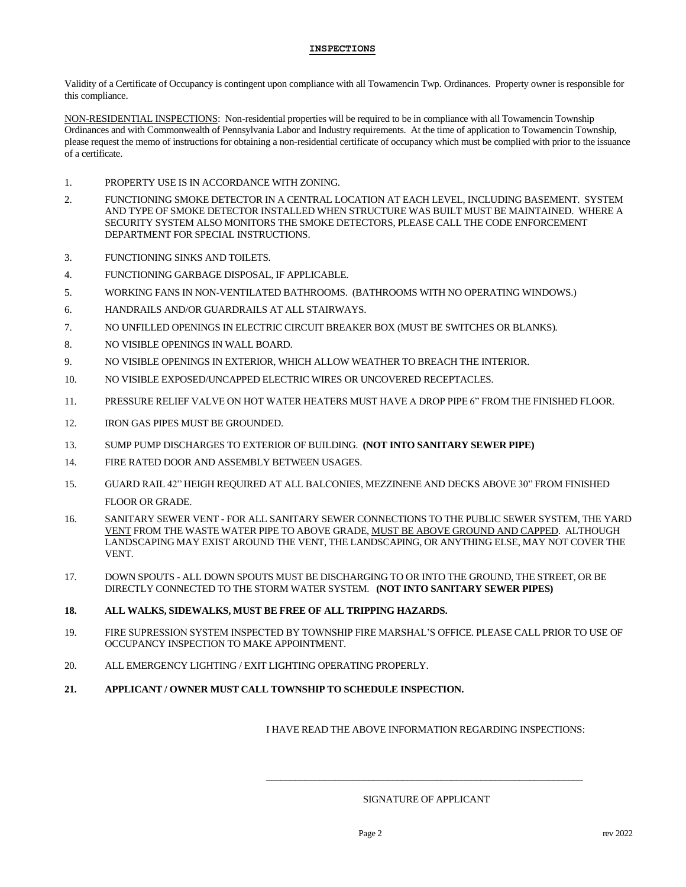#### **INSPECTIONS**

Validity of a Certificate of Occupancy is contingent upon compliance with all Towamencin Twp. Ordinances. Property owner is responsible for this compliance.

NON-RESIDENTIAL INSPECTIONS: Non-residential properties will be required to be in compliance with all Towamencin Township Ordinances and with Commonwealth of Pennsylvania Labor and Industry requirements. At the time of application to Towamencin Township, please request the memo of instructions for obtaining a non-residential certificate of occupancy which must be complied with prior to the issuance of a certificate.

- 1. PROPERTY USE IS IN ACCORDANCE WITH ZONING.
- 2. FUNCTIONING SMOKE DETECTOR IN A CENTRAL LOCATION AT EACH LEVEL, INCLUDING BASEMENT. SYSTEM AND TYPE OF SMOKE DETECTOR INSTALLED WHEN STRUCTURE WAS BUILT MUST BE MAINTAINED. WHERE A SECURITY SYSTEM ALSO MONITORS THE SMOKE DETECTORS, PLEASE CALL THE CODE ENFORCEMENT DEPARTMENT FOR SPECIAL INSTRUCTIONS.
- 3. FUNCTIONING SINKS AND TOILETS.
- 4. FUNCTIONING GARBAGE DISPOSAL, IF APPLICABLE.
- 5. WORKING FANS IN NON-VENTILATED BATHROOMS. (BATHROOMS WITH NO OPERATING WINDOWS.)
- 6. HANDRAILS AND/OR GUARDRAILS AT ALL STAIRWAYS.
- 7. NO UNFILLED OPENINGS IN ELECTRIC CIRCUIT BREAKER BOX (MUST BE SWITCHES OR BLANKS).
- 8. NO VISIBLE OPENINGS IN WALL BOARD.
- 9. NO VISIBLE OPENINGS IN EXTERIOR, WHICH ALLOW WEATHER TO BREACH THE INTERIOR.
- 10. NO VISIBLE EXPOSED/UNCAPPED ELECTRIC WIRES OR UNCOVERED RECEPTACLES.
- 11. PRESSURE RELIEF VALVE ON HOT WATER HEATERS MUST HAVE A DROP PIPE 6" FROM THE FINISHED FLOOR.
- 12. IRON GAS PIPES MUST BE GROUNDED.
- 13. SUMP PUMP DISCHARGES TO EXTERIOR OF BUILDING. **(NOT INTO SANITARY SEWER PIPE)**
- 14. FIRE RATED DOOR AND ASSEMBLY BETWEEN USAGES.
- 15. GUARD RAIL 42" HEIGH REQUIRED AT ALL BALCONIES, MEZZINENE AND DECKS ABOVE 30" FROM FINISHED FLOOR OR GRADE.
- 16. SANITARY SEWER VENT FOR ALL SANITARY SEWER CONNECTIONS TO THE PUBLIC SEWER SYSTEM, THE YARD VENT FROM THE WASTE WATER PIPE TO ABOVE GRADE, MUST BE ABOVE GROUND AND CAPPED. ALTHOUGH LANDSCAPING MAY EXIST AROUND THE VENT, THE LANDSCAPING, OR ANYTHING ELSE, MAY NOT COVER THE VENT.
- 17. DOWN SPOUTS ALL DOWN SPOUTS MUST BE DISCHARGING TO OR INTO THE GROUND, THE STREET, OR BE DIRECTLY CONNECTED TO THE STORM WATER SYSTEM. **(NOT INTO SANITARY SEWER PIPES)**
- **18. ALL WALKS, SIDEWALKS, MUST BE FREE OF ALL TRIPPING HAZARDS.**
- 19. FIRE SUPRESSION SYSTEM INSPECTED BY TOWNSHIP FIRE MARSHAL'S OFFICE. PLEASE CALL PRIOR TO USE OF OCCUPANCY INSPECTION TO MAKE APPOINTMENT.
- 20. ALL EMERGENCY LIGHTING / EXIT LIGHTING OPERATING PROPERLY.
- **21. APPLICANT / OWNER MUST CALL TOWNSHIP TO SCHEDULE INSPECTION.**

I HAVE READ THE ABOVE INFORMATION REGARDING INSPECTIONS:

### SIGNATURE OF APPLICANT

\_\_\_\_\_\_\_\_\_\_\_\_\_\_\_\_\_\_\_\_\_\_\_\_\_\_\_\_\_\_\_\_\_\_\_\_\_\_\_\_\_\_\_\_\_\_\_\_\_\_\_\_\_\_\_\_\_\_\_\_\_\_\_\_\_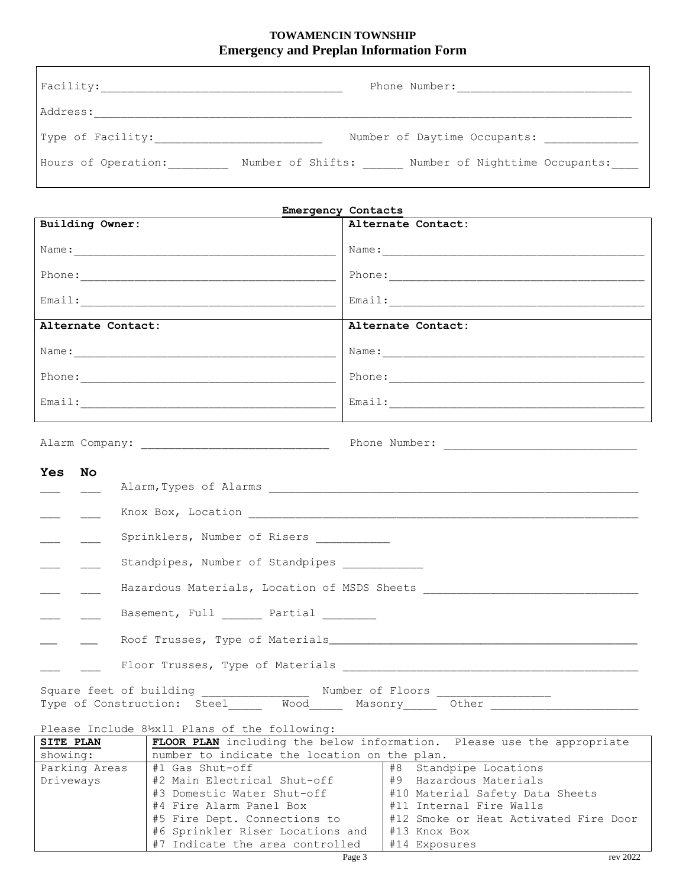# **TOWAMENCIN TOWNSHIP Emergency and Preplan Information Form**

| Facility:           | Phone Number:                                       |
|---------------------|-----------------------------------------------------|
| Address:            |                                                     |
| Type of Facility:   | Number of Daytime Occupants:                        |
| Hours of Operation: | Number of Shifts:<br>Number of Nighttime Occupants: |

| <b>Emergency Contacts</b>                                |                                                                        |  |  |  |  |
|----------------------------------------------------------|------------------------------------------------------------------------|--|--|--|--|
| Building Owner:                                          | Alternate Contact:                                                     |  |  |  |  |
|                                                          |                                                                        |  |  |  |  |
|                                                          |                                                                        |  |  |  |  |
|                                                          |                                                                        |  |  |  |  |
| Alternate Contact:                                       | Alternate Contact:                                                     |  |  |  |  |
|                                                          |                                                                        |  |  |  |  |
|                                                          |                                                                        |  |  |  |  |
|                                                          |                                                                        |  |  |  |  |
|                                                          |                                                                        |  |  |  |  |
|                                                          |                                                                        |  |  |  |  |
| <b>Yes</b><br>No                                         |                                                                        |  |  |  |  |
|                                                          |                                                                        |  |  |  |  |
|                                                          |                                                                        |  |  |  |  |
| Sprinklers, Number of Risers ____________                |                                                                        |  |  |  |  |
| Standpipes, Number of Standpipes ____________            |                                                                        |  |  |  |  |
|                                                          |                                                                        |  |  |  |  |
| Basement, Full Partial                                   |                                                                        |  |  |  |  |
|                                                          |                                                                        |  |  |  |  |
|                                                          |                                                                        |  |  |  |  |
|                                                          |                                                                        |  |  |  |  |
|                                                          |                                                                        |  |  |  |  |
| Please Include 8½x11 Plans of the following:             |                                                                        |  |  |  |  |
| <b>SITE PLAN</b>                                         | FLOOR PLAN including the below information. Please use the appropriate |  |  |  |  |
| number to indicate the location on the plan.<br>showing: |                                                                        |  |  |  |  |

| showing:      | number to indicate the location on the plan. |                                       |          |
|---------------|----------------------------------------------|---------------------------------------|----------|
| Parking Areas | #1 Gas Shut-off                              | #8 Standpipe Locations                |          |
| Driveways     | #2 Main Electrical Shut-off                  | #9 Hazardous Materials                |          |
|               | #3 Domestic Water Shut-off                   | #10 Material Safety Data Sheets       |          |
|               | #4 Fire Alarm Panel Box                      | #11 Internal Fire Walls               |          |
|               | #5 Fire Dept. Connections to                 | #12 Smoke or Heat Activated Fire Door |          |
|               | #6 Sprinkler Riser Locations and             | #13 Knox Box                          |          |
|               | #7 Indicate the area controlled              | #14 Exposures                         |          |
|               | Page 3                                       |                                       | rev 2022 |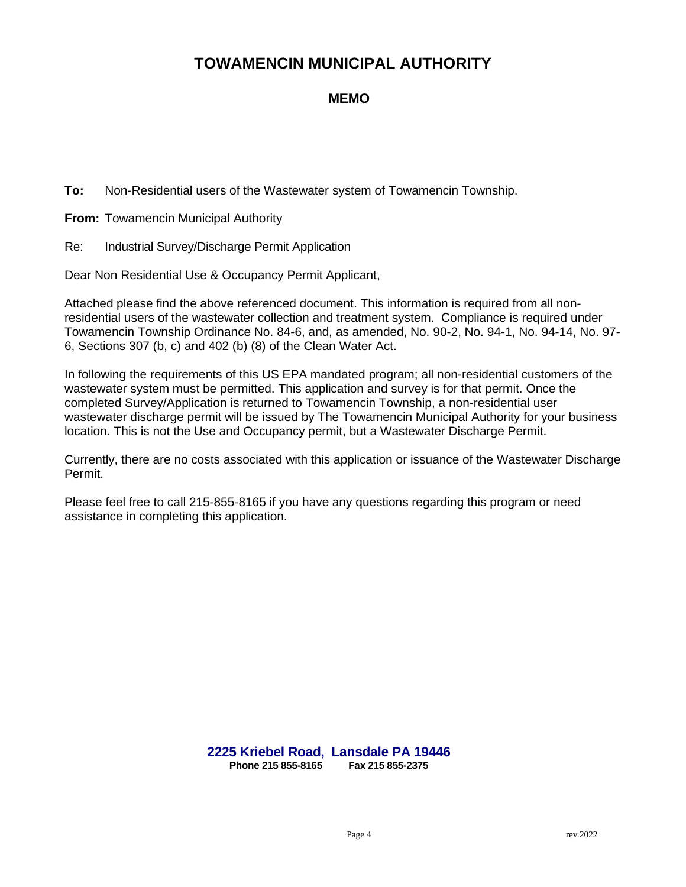# **MEMO**

**To:** Non-Residential users of the Wastewater system of Towamencin Township.

**From:** Towamencin Municipal Authority

Re: Industrial Survey/Discharge Permit Application

Dear Non Residential Use & Occupancy Permit Applicant,

Attached please find the above referenced document. This information is required from all nonresidential users of the wastewater collection and treatment system. Compliance is required under Towamencin Township Ordinance No. 84-6, and, as amended, No. 90-2, No. 94-1, No. 94-14, No. 97- 6, Sections 307 (b, c) and 402 (b) (8) of the Clean Water Act.

In following the requirements of this US EPA mandated program; all non-residential customers of the wastewater system must be permitted. This application and survey is for that permit. Once the completed Survey/Application is returned to Towamencin Township, a non-residential user wastewater discharge permit will be issued by The Towamencin Municipal Authority for your business location. This is not the Use and Occupancy permit, but a Wastewater Discharge Permit.

Currently, there are no costs associated with this application or issuance of the Wastewater Discharge Permit.

Please feel free to call 215-855-8165 if you have any questions regarding this program or need assistance in completing this application.

> **2225 Kriebel Road, Lansdale PA 19446 Phone 215 855-8165**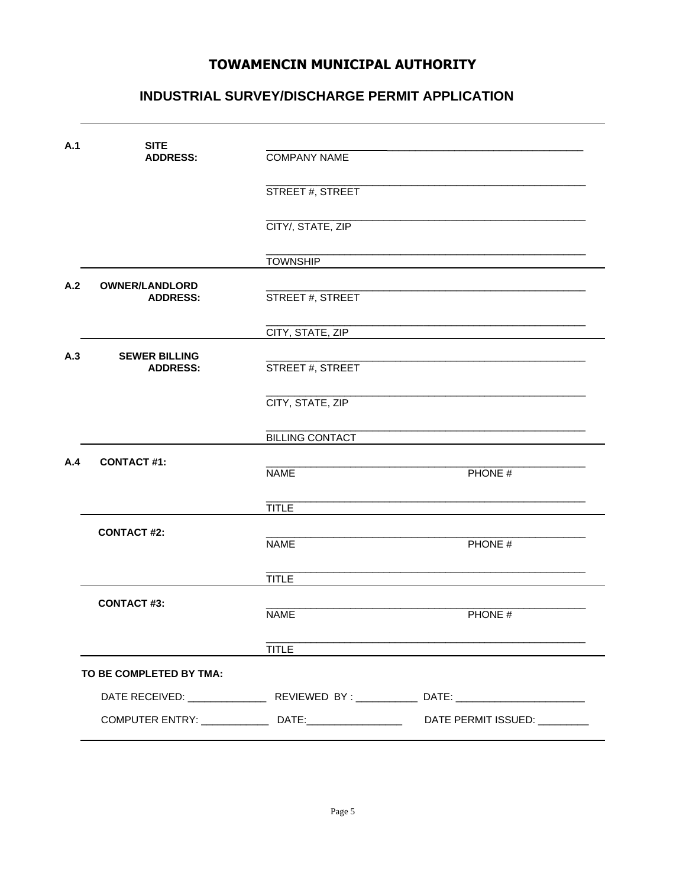# INDUSTRIAL SURVEY/DISCHARGE PERMIT APPLICATION

| A.1 | <b>SITE</b><br><b>ADDRESS:</b>           | <b>COMPANY NAME</b>    |                            |  |  |  |
|-----|------------------------------------------|------------------------|----------------------------|--|--|--|
|     |                                          | STREET #, STREET       |                            |  |  |  |
|     |                                          | CITY/, STATE, ZIP      |                            |  |  |  |
|     |                                          | <b>TOWNSHIP</b>        |                            |  |  |  |
| A.2 | <b>OWNER/LANDLORD</b><br><b>ADDRESS:</b> | STREET #, STREET       |                            |  |  |  |
|     |                                          | CITY, STATE, ZIP       |                            |  |  |  |
| A.3 | <b>SEWER BILLING</b><br><b>ADDRESS:</b>  | STREET #, STREET       |                            |  |  |  |
|     |                                          | CITY, STATE, ZIP       |                            |  |  |  |
|     |                                          | <b>BILLING CONTACT</b> |                            |  |  |  |
| A.4 | <b>CONTACT#1:</b>                        | <b>NAME</b>            | PHONE #                    |  |  |  |
|     |                                          | <b>TITLE</b>           |                            |  |  |  |
|     | <b>CONTACT#2:</b>                        | <b>NAME</b>            | PHONE #                    |  |  |  |
|     |                                          | <b>TITLE</b>           |                            |  |  |  |
|     | <b>CONTACT#3:</b>                        | <b>NAME</b>            | PHONE #                    |  |  |  |
|     |                                          | <b>TITLE</b>           |                            |  |  |  |
|     | TO BE COMPLETED BY TMA:                  |                        |                            |  |  |  |
|     |                                          |                        |                            |  |  |  |
|     |                                          |                        | DATE PERMIT ISSUED: \\ \\] |  |  |  |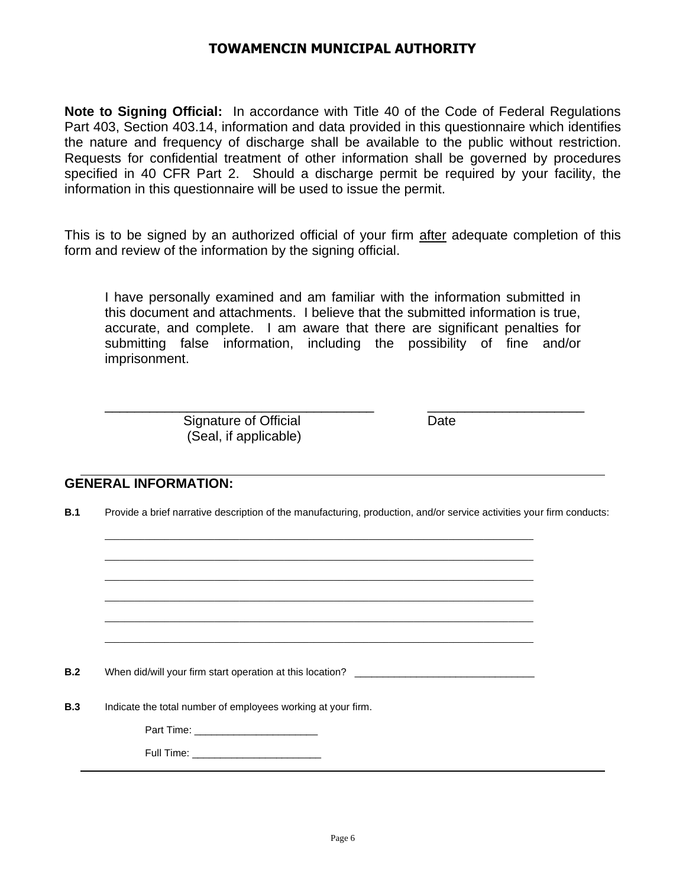**Note to Signing Official:** In accordance with Title 40 of the Code of Federal Regulations Part 403, Section 403.14, information and data provided in this questionnaire which identifies the nature and frequency of discharge shall be available to the public without restriction. Requests for confidential treatment of other information shall be governed by procedures specified in 40 CFR Part 2. Should a discharge permit be required by your facility, the information in this questionnaire will be used to issue the permit.

This is to be signed by an authorized official of your firm after adequate completion of this form and review of the information by the signing official.

I have personally examined and am familiar with the information submitted in this document and attachments. I believe that the submitted information is true, accurate, and complete. I am aware that there are significant penalties for submitting false information, including the possibility of fine and/or imprisonment.

\_\_\_\_\_\_\_\_\_\_\_\_\_\_\_\_\_\_\_\_\_\_\_\_\_\_\_\_\_\_\_\_\_\_\_\_ \_\_\_\_\_\_\_\_\_\_\_\_\_\_\_\_\_\_\_\_\_

Signature of Official **Date** (Seal, if applicable)

# **GENERAL INFORMATION:**

**B.1** Provide a brief narrative description of the manufacturing, production, and/or service activities your firm conducts:

\_\_\_\_\_\_\_\_\_\_\_\_\_\_\_\_\_\_\_\_\_\_\_\_\_\_\_\_\_\_\_\_\_\_\_\_\_\_\_\_\_\_\_\_\_\_\_\_\_\_\_\_\_\_\_\_\_\_\_\_\_\_\_\_\_\_\_\_\_\_\_\_\_\_\_\_\_\_\_\_\_\_\_\_\_\_ \_\_\_\_\_\_\_\_\_\_\_\_\_\_\_\_\_\_\_\_\_\_\_\_\_\_\_\_\_\_\_\_\_\_\_\_\_\_\_\_\_\_\_\_\_\_\_\_\_\_\_\_\_\_\_\_\_\_\_\_\_\_\_\_\_\_\_\_\_\_\_\_\_\_\_\_\_\_\_\_\_\_\_\_\_\_ \_\_\_\_\_\_\_\_\_\_\_\_\_\_\_\_\_\_\_\_\_\_\_\_\_\_\_\_\_\_\_\_\_\_\_\_\_\_\_\_\_\_\_\_\_\_\_\_\_\_\_\_\_\_\_\_\_\_\_\_\_\_\_\_\_\_\_\_\_\_\_\_\_\_\_\_\_\_\_\_\_\_\_\_\_\_ \_\_\_\_\_\_\_\_\_\_\_\_\_\_\_\_\_\_\_\_\_\_\_\_\_\_\_\_\_\_\_\_\_\_\_\_\_\_\_\_\_\_\_\_\_\_\_\_\_\_\_\_\_\_\_\_\_\_\_\_\_\_\_\_\_\_\_\_\_\_\_\_\_\_\_\_\_\_\_\_\_\_\_\_\_\_ \_\_\_\_\_\_\_\_\_\_\_\_\_\_\_\_\_\_\_\_\_\_\_\_\_\_\_\_\_\_\_\_\_\_\_\_\_\_\_\_\_\_\_\_\_\_\_\_\_\_\_\_\_\_\_\_\_\_\_\_\_\_\_\_\_\_\_\_\_\_\_\_\_\_\_\_\_\_\_\_\_\_\_\_\_\_ \_\_\_\_\_\_\_\_\_\_\_\_\_\_\_\_\_\_\_\_\_\_\_\_\_\_\_\_\_\_\_\_\_\_\_\_\_\_\_\_\_\_\_\_\_\_\_\_\_\_\_\_\_\_\_\_\_\_\_\_\_\_\_\_\_\_\_\_\_\_\_\_\_\_\_\_\_\_\_\_\_\_\_\_\_\_

**B.2** When did/will your firm start operation at this location?

**B.3** Indicate the total number of employees working at your firm.

Part Time:

Full Time: **Example 20**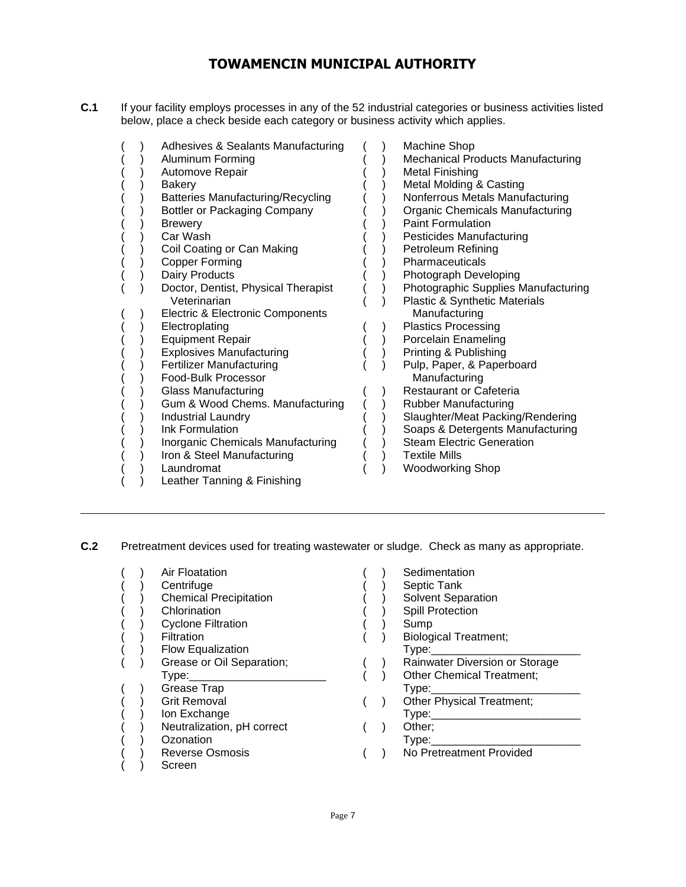**C.1** If your facility employs processes in any of the 52 industrial categories or business activities listed below, place a check beside each category or business activity which applies.

| Adhesives & Sealants Manufacturing<br>Aluminum Forming<br>Automove Repair<br>Bakery<br>Batteries Manufacturing/Recycling<br><b>Bottler or Packaging Company</b><br><b>Brewery</b><br>Car Wash<br>Coil Coating or Can Making<br><b>Copper Forming</b><br>Dairy Products<br>Doctor, Dentist, Physical Therapist<br>Veterinarian<br>Electric & Electronic Components<br>Electroplating<br><b>Equipment Repair</b><br><b>Explosives Manufacturing</b><br><b>Fertilizer Manufacturing</b><br>Food-Bulk Processor<br><b>Glass Manufacturing</b><br>Gum & Wood Chems. Manufacturing<br><b>Industrial Laundry</b><br>Ink Formulation<br>Inorganic Chemicals Manufacturing<br>Iron & Steel Manufacturing<br>Laundromat<br>Leather Tanning & Finishing | Machine Shop<br><b>Mechanical Products Manufacturing</b><br><b>Metal Finishing</b><br>Metal Molding & Casting<br>Nonferrous Metals Manufacturing<br><b>Organic Chemicals Manufacturing</b><br><b>Paint Formulation</b><br>Pesticides Manufacturing<br>Petroleum Refining<br>Pharmaceuticals<br>Photograph Developing<br>Photographic Supplies Manufacturing<br><b>Plastic &amp; Synthetic Materials</b><br>Manufacturing<br><b>Plastics Processing</b><br>Porcelain Enameling<br>Printing & Publishing<br>Pulp, Paper, & Paperboard<br>Manufacturing<br>Restaurant or Cafeteria<br><b>Rubber Manufacturing</b><br>Slaughter/Meat Packing/Rendering<br>Soaps & Detergents Manufacturing<br><b>Steam Electric Generation</b><br><b>Textile Mills</b><br><b>Woodworking Shop</b> |
|----------------------------------------------------------------------------------------------------------------------------------------------------------------------------------------------------------------------------------------------------------------------------------------------------------------------------------------------------------------------------------------------------------------------------------------------------------------------------------------------------------------------------------------------------------------------------------------------------------------------------------------------------------------------------------------------------------------------------------------------|-------------------------------------------------------------------------------------------------------------------------------------------------------------------------------------------------------------------------------------------------------------------------------------------------------------------------------------------------------------------------------------------------------------------------------------------------------------------------------------------------------------------------------------------------------------------------------------------------------------------------------------------------------------------------------------------------------------------------------------------------------------------------------|
|----------------------------------------------------------------------------------------------------------------------------------------------------------------------------------------------------------------------------------------------------------------------------------------------------------------------------------------------------------------------------------------------------------------------------------------------------------------------------------------------------------------------------------------------------------------------------------------------------------------------------------------------------------------------------------------------------------------------------------------------|-------------------------------------------------------------------------------------------------------------------------------------------------------------------------------------------------------------------------------------------------------------------------------------------------------------------------------------------------------------------------------------------------------------------------------------------------------------------------------------------------------------------------------------------------------------------------------------------------------------------------------------------------------------------------------------------------------------------------------------------------------------------------------|

**C.2** Pretreatment devices used for treating wastewater or sludge. Check as many as appropriate.

|  | Air Floatation<br>Centrifuge<br><b>Chemical Precipitation</b> |  | Sedimentation<br>Septic Tank<br>Solvent Separation |
|--|---------------------------------------------------------------|--|----------------------------------------------------|
|  | Chlorination                                                  |  | Spill Protection                                   |
|  | <b>Cyclone Filtration</b>                                     |  | Sump                                               |
|  | Filtration                                                    |  | Biological Treatment;                              |
|  | <b>Flow Equalization</b>                                      |  | Type:                                              |
|  | Grease or Oil Separation;                                     |  | Rainwater Diversion or Storage                     |
|  | Type:                                                         |  | <b>Other Chemical Treatment;</b>                   |
|  | Grease Trap                                                   |  | Type:                                              |
|  | <b>Grit Removal</b>                                           |  | <b>Other Physical Treatment;</b>                   |
|  | Ion Exchange                                                  |  | Type:                                              |
|  | Neutralization, pH correct                                    |  | Other;                                             |
|  | Ozonation                                                     |  | Type:                                              |
|  | <b>Reverse Osmosis</b>                                        |  | No Pretreatment Provided                           |
|  | Screen                                                        |  |                                                    |